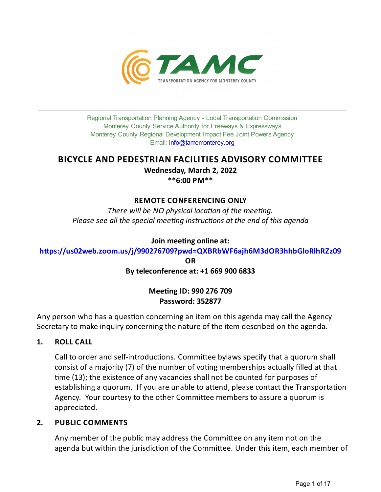

Regional Transportation Planning Agency - Local Transportation Commission Monterey County Service Authority for Freeways & Expressways Monterey County Regional Development Impact Fee Joint Powers Agency Email: *[info@tamcmonterey.org](file:///C:/Windows/TEMP/info@tamcmonterey.org)* 

# **BICYCLE AND PEDESTRIAN FACILITIES ADVISORY COMMITTEE**

**Wednesday, March 2, 2022 \*\*6:00 PM\*\***

## **REMOTE CONFERENCING ONLY**

*There* will be NO physical location of the meeting. *Please see* all the *special* meeting *instructions* at the end of this agenda

## **Join** meeting online at:

**[h,ps://us02web.zoom.us/j/990276709?pwd=QXBRbWF6ajh6M3dOR3hhbGloRlhRZz09](https://us02web.zoom.us/j/990276709?pwd=QXBRbWF6ajh6M3dOR3hhbGloRlhRZz09)**

**OR**

## **Byteleconference at: +1 669 900 6833**

# **Meeting ID: 990 276 709 Password: 352877**

Any person who has a question concerning an item on this agenda may call the Agency Secretary to make inquiry concerning the nature of the item described on the agenda.

**1. ROLL CALL**

Call to order and self-introductions. Committee bylaws specify that a quorum shall consist of a majority (7) of the number of voting memberships actually filled at that me (13); the existence of any vacancies shall not be counted for purposes of establishing a quorum. If you are unable to attend, please contact the Transportation Agency. Your courtesy to the other Committee members to assure a quorum is appreciated.

## **2. PUBLIC COMMENTS**

Any member of the public may address the Committee on any item not on the agenda but within the jurisdiction of the Committee. Under this item, each member of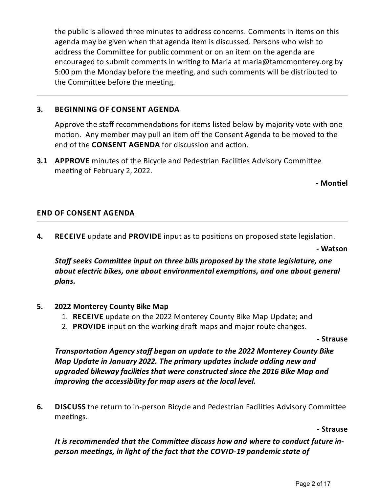the public is allowed three minutes to address concerns. Comments in items on this agenda may be given when that agenda item is discussed. Persons who wish to address the Committee for public comment or on an item on the agenda are encouraged to submit comments in writing to Maria at maria@tamcmonterey.org by 5:00 pm the Monday before the meeting, and such comments will be distributed to the Committee before the meeting.

# **3. BEGINNING OF CONSENT AGENDA**

Approve the staff recommendations for items listed below by majority vote with one motion. Any member may pull an item off the Consent Agenda to be moved to the end of the **CONSENT AGENDA** for discussion and action.

**3.1 APPROVE** minutes of the Bicycle and Pedestrian Facilities Advisory Committee meeting of February 2, 2022.

**- Mon(el**

## **END OF CONSENT AGENDA**

**4. RECEIVE** update and **PROVIDE** input as to positions on proposed state legislation.

**- Watson**

*Staff seeks Commi
eeinput on three bills proposed bythestatelegislature, one about electric bikes, one about environmental exemptions, and one about general plans.*

## **5. 2022 Monterey County Bike Map**

- 1. **RECEIVE** update on the 2022 Monterey County Bike Map Update;and
- 2. **PROVIDE** input on the working draft maps and major route changes.

**- Strause**

*Transportaon Agencystaff began an updateto the 2022 Monterey County Bike Map Updatein January 2022. The primary updates include adding new and upgraded bikewayfacilies that wereconstructed sincethe 2016 Bike Map and improving the accessibilityfor map users at thelocal level.*

**6. DISCUSS** the return to in-person Bicycle and Pedestrian Facilities Advisory Committee meetings.

**- Strause**

It is recommended that the Committee discuss how and where to conduct future in*person meengs, in light of thefact that the COVID-19 pandemic state of*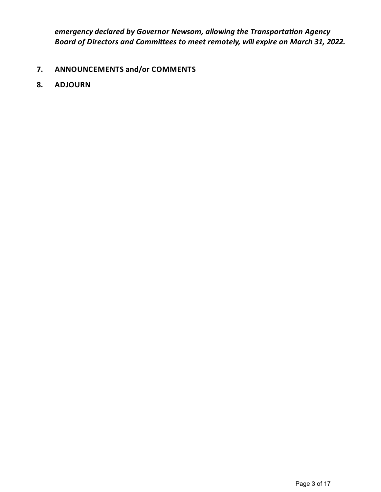*emergency declared by Governor Newsom, allowing the Transportation Agency Board of Directors and Commi
ees to meet remotely, willexpire on March 31, 2022.*

- **7. ANNOUNCEMENTS and/or COMMENTS**
- **8. ADJOURN**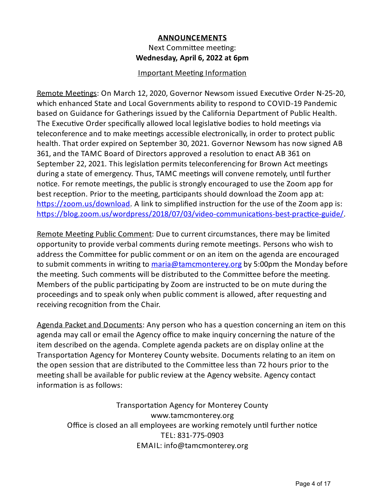# **ANNOUNCEMENTS** Next Committee meeting: **Wednesday, April 6, 2022 at 6pm**

## Important Meeting Information

Remote Meetings: On March 12, 2020, Governor Newsom issued Executive Order N-25-20, which enhanced State and Local Governments ability to respond to COVID-19 Pandemic based on Guidance for Gatherings issued by the California Department of Public Health. The Executive Order specifically allowed local legislative bodies to hold meetings via teleconference and to make meetings accessible electronically, in order to protect public health. That order expired on September 30, 2021. Governor Newsom has now signed AB 361, and the TAMC Board of Directors approved a resolution to enact AB 361 on September 22, 2021. This legislation permits teleconferencing for Brown Act meetings during a state of emergency. Thus, TAMC meetings will convene remotely, until further notice. For remote meetings, the public is strongly encouraged to use the Zoom app for best reception. Prior to the meeting, participants should download the Zoom app at: https://zoom.us/download. A link to simplified instruction for the use of the Zoom app is: https://blog.zoom.us/wordpress/2018/07/03/video-communications-best-practice-guide/

Remote Meeting Public Comment: Due to current circumstances, there may be limited opportunity to provide verbal comments during remote meetings. Persons who wish to address the Committee for public comment or on an item on the agenda are encouraged to submit comments in writing to [maria@tamcmonterey.org](mailto:maria@tamcmonterey.org) by 5:00pm the Monday before the meeting. Such comments will be distributed to the Committee before the meeting. Members of the public participating by Zoom are instructed to be on mute during the proceedings and to speak only when public comment is allowed, after requesting and receiving recognition from the Chair.

Agenda Packet and Documents: Any person who has a question concerning an item on this agenda may call or email the Agency office to make inquiry concerning the nature of the item described on the agenda. Complete agenda packets are on display online at the Transportation Agency for Monterey County website. Documents relating to an item on the open session that are distributed to the Committee less than 72 hours prior to the meeting shall be available for public review at the Agency website. Agency contact information is as follows:

Transportation Agency for Monterey County www.tamcmonterey.org Office is closed an all employees are working remotely until further notice TEL: 831-775-0903 EMAIL: info@tamcmonterey.org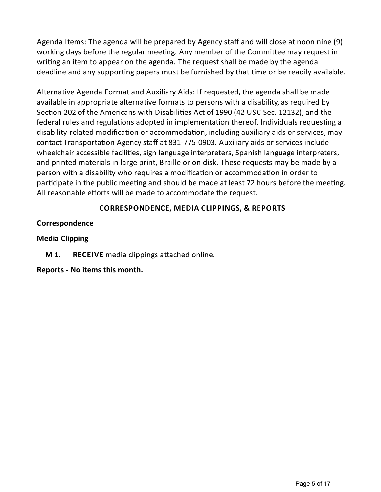Agenda Items: The agenda will be prepared by Agency staff and will close at noon nine (9) working days before the regular meeting. Any member of the Committee may request in writing an item to appear on the agenda. The request shall be made by the agenda deadline and any supporting papers must be furnished by that time or be readily available.

Alternative Agenda Format and Auxiliary Aids: If requested, the agenda shall be made available in appropriate alternative formats to persons with a disability, as required by Section 202 of the Americans with Disabilities Act of 1990 (42 USC Sec. 12132), and the federal rules and regulations adopted in implementation thereof. Individuals requesting a disability-related modification or accommodation, including auxiliary aids or services, may contact Transportation Agency staff at 831-775-0903. Auxiliary aids or services include wheelchair accessible facilities, sign language interpreters, Spanish language interpreters, and printed materials in large print, Braille or on disk. These requests may be made bya person with a disability who requires a modification or accommodation in order to participate in the public meeting and should be made at least 72 hours before the meeting. All reasonable efforts will be made to accommodate the request.

# **CORRESPONDENCE, MEDIA CLIPPINGS, & REPORTS**

# **Correspondence**

## **Media Clipping**

**M 1. RECEIVE** media clippings attached online.

# **Reports - No items this month.**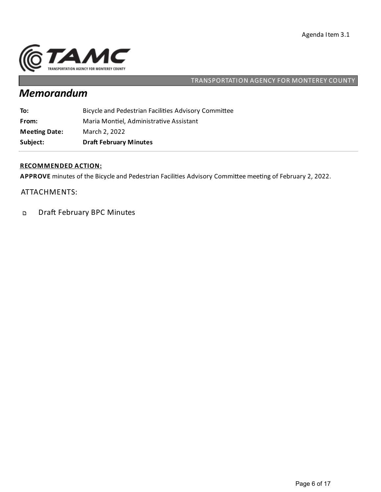

# *Memorandum*

| Subject:             | <b>Draft February Minutes</b>                        |
|----------------------|------------------------------------------------------|
| <b>Meeting Date:</b> | March 2, 2022                                        |
| From:                | Maria Montiel, Administrative Assistant              |
| To:                  | Bicycle and Pedestrian Facilities Advisory Committee |

## **RECOMMENDED ACTION:**

APPROVE minutes of the Bicycle and Pedestrian Facilities Advisory Committee meeting of February 2, 2022.

## ATTACHMENTS:

Draft February BPC Minutes  $\mathbf{D}$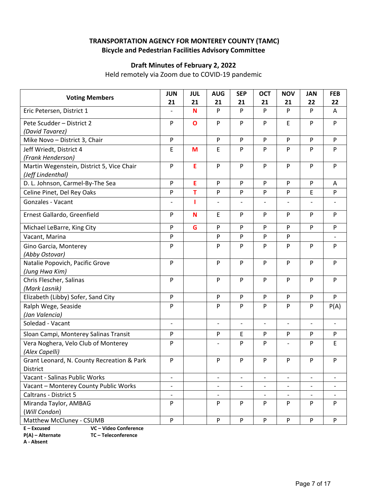# **TRANSPORTATION AGENCY FOR MONTEREY COUNTY (TAMC) Bicycle and Pedestrian Facilities Advisory Committee**

# **Draft Minutes of February 2, 2022**

Held remotely via Zoom due to COVID‐19 pandemic

| <b>Voting Members</b>                                          | <b>JUN</b><br>21         | <b>JUL</b><br>21 | <b>AUG</b><br>21         | <b>SEP</b><br>21         | <b>OCT</b><br>21         | <b>NOV</b><br>21         | <b>JAN</b><br>22         | <b>FEB</b><br>22         |
|----------------------------------------------------------------|--------------------------|------------------|--------------------------|--------------------------|--------------------------|--------------------------|--------------------------|--------------------------|
| Eric Petersen, District 1                                      |                          | N                | ${\sf P}$                | P                        | P                        | P                        | P                        | A                        |
| Pete Scudder - District 2                                      | $\mathsf{P}$             | $\mathbf{o}$     | P                        | P                        | P                        | E                        | P                        | P                        |
| (David Tavarez)                                                |                          |                  |                          |                          |                          |                          |                          |                          |
| Mike Novo - District 3, Chair                                  | P                        |                  | ${\sf P}$                | P                        | P                        | ${\sf P}$                | P                        | P                        |
| Jeff Wriedt, District 4                                        | E                        | M                | $\mathsf E$              | P                        | P                        | P                        | P                        | P                        |
| (Frank Henderson)                                              |                          |                  |                          |                          |                          |                          |                          |                          |
| Martin Wegenstein, District 5, Vice Chair<br>(Jeff Lindenthal) | $\mathsf{P}$             | E                | P                        | P                        | P                        | P                        | P                        | P                        |
| D. L. Johnson, Carmel-By-The Sea                               | P                        | E                | P                        | P                        | P                        | P                        | P                        | A                        |
| Celine Pinet, Del Rey Oaks                                     | P                        | T                | ${\sf P}$                | P                        | P                        | P                        | E                        | P                        |
| Gonzales - Vacant                                              | $\overline{a}$           | ı                | $\qquad \qquad -$        |                          | $\overline{a}$           | $\qquad \qquad -$        |                          |                          |
| Ernest Gallardo, Greenfield                                    | P                        | N                | $\mathsf E$              | P                        | P                        | P                        | P                        | P                        |
| Michael LeBarre, King City                                     | P                        | G                | P                        | P                        | P                        | P                        | P                        | P                        |
| Vacant, Marina                                                 | P                        |                  | $\mathsf{P}$             | P                        | P                        | P                        |                          |                          |
| Gino Garcia, Monterey                                          | P                        |                  | P                        | P                        | P                        | P                        | P                        | P                        |
| (Abby Ostovar)                                                 |                          |                  |                          |                          |                          |                          |                          |                          |
| Natalie Popovich, Pacific Grove                                | P                        |                  | P                        | P                        | P                        | P                        | P                        | P                        |
| (Jung Hwa Kim)                                                 |                          |                  |                          |                          |                          |                          |                          |                          |
| Chris Flescher, Salinas                                        | P                        |                  | P                        | P                        | P                        | P                        | P                        | P                        |
| (Mark Lasnik)                                                  |                          |                  |                          |                          |                          |                          |                          |                          |
| Elizabeth (Libby) Sofer, Sand City                             | P                        |                  | P                        | P                        | P                        | P                        | P                        | P                        |
| Ralph Wege, Seaside                                            | P                        |                  | P                        | P                        | P                        | P                        | P                        | P(A)                     |
| (Jan Valencia)                                                 |                          |                  |                          |                          |                          |                          |                          |                          |
| Soledad - Vacant                                               | $\qquad \qquad -$        |                  | $\qquad \qquad -$        | $\qquad \qquad -$        | $\overline{\phantom{0}}$ | $\overline{\phantom{a}}$ | $\qquad \qquad -$        | $\qquad \qquad -$        |
| Sloan Campi, Monterey Salinas Transit                          | P                        |                  | P                        | E                        | P                        | P                        | P                        | P                        |
| Vera Noghera, Velo Club of Monterey                            | P                        |                  | $\overline{\phantom{0}}$ | P                        | P                        | $\overline{\phantom{a}}$ | P                        | E                        |
| (Alex Capelli)                                                 |                          |                  |                          |                          |                          |                          |                          |                          |
| Grant Leonard, N. County Recreation & Park<br>District         | P                        |                  | ${\sf P}$                | P                        | P                        | P                        | P                        | P                        |
| Vacant - Salinas Public Works                                  | $\overline{\phantom{a}}$ |                  | $\overline{\phantom{0}}$ |                          |                          | $\overline{\phantom{0}}$ |                          |                          |
| Vacant - Monterey County Public Works                          | $\qquad \qquad -$        |                  | $\overline{\phantom{a}}$ | $\overline{\phantom{a}}$ | $\overline{\phantom{a}}$ | $\overline{\phantom{a}}$ | $\overline{\phantom{a}}$ | $\overline{\phantom{a}}$ |
| Caltrans - District 5                                          |                          |                  | $\overline{\phantom{a}}$ |                          | $\overline{\phantom{0}}$ | $\overline{\phantom{a}}$ |                          | $\overline{\phantom{0}}$ |
| Miranda Taylor, AMBAG                                          | P                        |                  | P                        | P                        | P                        | P                        | P                        | P                        |
| (Will Condon)                                                  |                          |                  |                          |                          |                          |                          |                          |                          |
| Matthew McCluney - CSUMB                                       | P                        |                  | ${\sf P}$                | $\mathsf{P}$             | P                        | P                        | $\mathsf{P}$             | P                        |

**E – Excused VC – Video Conference** 

**P(A) – Alternate TC – Teleconference A ‐ Absent**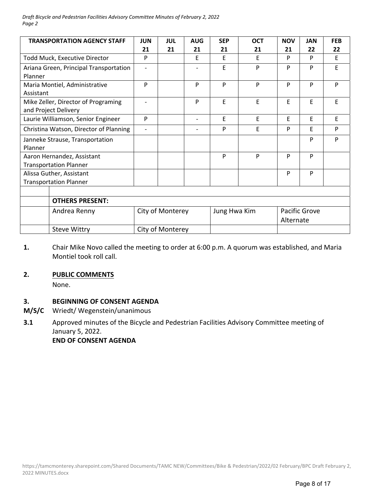*Draft Bicycle and Pedestrian Facilities Advisory Committee Minutes of February 2, 2022 Page 2*

| <b>TRANSPORTATION AGENCY STAFF</b>     | <b>JUN</b>               | <b>JUL</b> | <b>AUG</b> | <b>SEP</b>   | <b>OCT</b> | <b>NOV</b>    | <b>JAN</b> | <b>FEB</b> |
|----------------------------------------|--------------------------|------------|------------|--------------|------------|---------------|------------|------------|
|                                        | 21                       | 21         | 21         | 21           | 21         | 21            | 22         | 22         |
| <b>Todd Muck, Executive Director</b>   | P                        |            | E          | E            | F          | P             | P          | E          |
| Ariana Green, Principal Transportation | $\overline{\phantom{a}}$ |            |            | F            | P          | P             | P          | E          |
| Planner                                |                          |            |            |              |            |               |            |            |
| Maria Montiel, Administrative          | P                        |            | P          | P            | P          | P             | P          | P          |
| Assistant                              |                          |            |            |              |            |               |            |            |
| Mike Zeller, Director of Programing    | $\overline{\phantom{a}}$ |            | P          | E            | E          | E             | E          | E          |
| and Project Delivery                   |                          |            |            |              |            |               |            |            |
| Laurie Williamson, Senior Engineer     | P                        |            |            | E            | E          | E             | E          | E          |
| Christina Watson, Director of Planning | $\overline{\phantom{a}}$ |            |            | P            | F          | P             | F          | P          |
| Janneke Strause, Transportation        |                          |            |            |              |            |               | P          | P          |
| Planner                                |                          |            |            |              |            |               |            |            |
| Aaron Hernandez, Assistant             |                          |            |            | P            | P          | P             | P          |            |
| <b>Transportation Planner</b>          |                          |            |            |              |            |               |            |            |
| Alissa Guther, Assistant               |                          |            |            |              |            | P             | P          |            |
| <b>Transportation Planner</b>          |                          |            |            |              |            |               |            |            |
|                                        |                          |            |            |              |            |               |            |            |
| <b>OTHERS PRESENT:</b>                 |                          |            |            |              |            |               |            |            |
| Andrea Renny                           | City of Monterey         |            |            | Jung Hwa Kim |            | Pacific Grove |            |            |
|                                        |                          |            |            | Alternate    |            |               |            |            |
| <b>Steve Wittry</b>                    | City of Monterey         |            |            |              |            |               |            |            |

**1.**  Chair Mike Novo called the meeting to order at 6:00 p.m. A quorum was established, and Maria Montiel took roll call.

### **2. PUBLIC COMMENTS**

None.

#### **3. BEGINNING OF CONSENT AGENDA**

- **M/S/C**  Wriedt/ Wegenstein/unanimous
- **3.1**  Approved minutes of the Bicycle and Pedestrian Facilities Advisory Committee meeting of January 5, 2022.

 **END OF CONSENT AGENDA**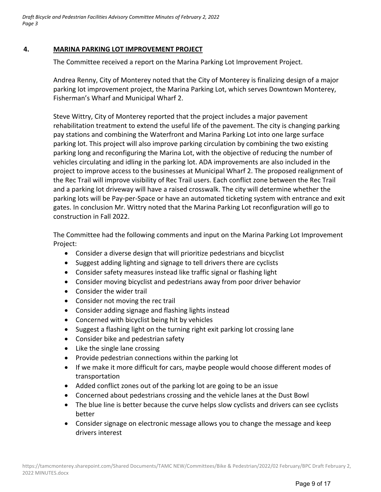*Draft Bicycle and Pedestrian Facilities Advisory Committee Minutes of February 2, 2022 Page 3*

### **4. MARINA PARKING LOT IMPROVEMENT PROJECT**

The Committee received a report on the Marina Parking Lot Improvement Project.

Andrea Renny, City of Monterey noted that the City of Monterey is finalizing design of a major parking lot improvement project, the Marina Parking Lot, which serves Downtown Monterey, Fisherman's Wharf and Municipal Wharf 2.

Steve Wittry, City of Monterey reported that the project includes a major pavement rehabilitation treatment to extend the useful life of the pavement. The city is changing parking pay stations and combining the Waterfront and Marina Parking Lot into one large surface parking lot. This project will also improve parking circulation by combining the two existing parking long and reconfiguring the Marina Lot, with the objective of reducing the number of vehicles circulating and idling in the parking lot. ADA improvements are also included in the project to improve access to the businesses at Municipal Wharf 2. The proposed realignment of the Rec Trail will improve visibility of Rec Trail users. Each conflict zone between the Rec Trail and a parking lot driveway will have a raised crosswalk. The city will determine whether the parking lots will be Pay‐per‐Space or have an automated ticketing system with entrance and exit gates. In conclusion Mr. Wittry noted that the Marina Parking Lot reconfiguration will go to construction in Fall 2022.

The Committee had the following comments and input on the Marina Parking Lot Improvement Project:

- Consider a diverse design that will prioritize pedestrians and bicyclist
- Suggest adding lighting and signage to tell drivers there are cyclists
- Consider safety measures instead like traffic signal or flashing light
- Consider moving bicyclist and pedestrians away from poor driver behavior
- Consider the wider trail
- Consider not moving the rec trail
- Consider adding signage and flashing lights instead
- Concerned with bicyclist being hit by vehicles
- Suggest a flashing light on the turning right exit parking lot crossing lane
- Consider bike and pedestrian safety
- Like the single lane crossing
- Provide pedestrian connections within the parking lot
- If we make it more difficult for cars, maybe people would choose different modes of transportation
- Added conflict zones out of the parking lot are going to be an issue
- Concerned about pedestrians crossing and the vehicle lanes at the Dust Bowl
- The blue line is better because the curve helps slow cyclists and drivers can see cyclists better
- Consider signage on electronic message allows you to change the message and keep drivers interest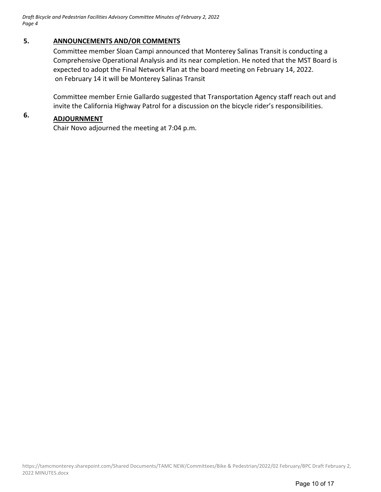## **5. ANNOUNCEMENTS AND/OR COMMENTS**

Committee member Sloan Campi announced that Monterey Salinas Transit is conducting a Comprehensive Operational Analysis and its near completion. He noted that the MST Board is expected to adopt the Final Network Plan at the board meeting on February 14, 2022. on February 14 it will be Monterey Salinas Transit

Committee member Ernie Gallardo suggested that Transportation Agency staff reach out and invite the California Highway Patrol for a discussion on the bicycle rider's responsibilities.

# **6. ADJOURNMENT**

Chair Novo adjourned the meeting at 7:04 p.m.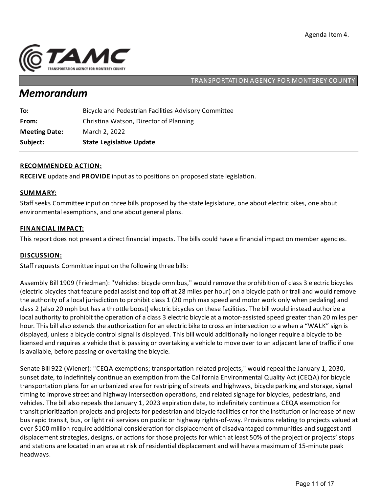

# *Memorandum*

| To:                  | Bicycle and Pedestrian Facilities Advisory Committee |
|----------------------|------------------------------------------------------|
| From:                | Christina Watson, Director of Planning               |
| <b>Meeting Date:</b> | March 2, 2022                                        |
| Subject:             | <b>State Legislative Update</b>                      |

### **RECOMMENDED ACTION:**

**RECEIVE** update and **PROVIDE** input as to positions on proposed state legislation.

#### **SUMMARY:**

Staff seeks Committee input on three bills proposed by the state legislature, one about electric bikes, one about environmental exemptions, and one about general plans.

#### **FINANCIAL IMPACT:**

This report does not present a direct financial impacts. The bills could have a financial impact on member agencies.

#### **DISCUSSION:**

Staff requests Committee input on the following three bills:

Assembly Bill 1909 (Friedman): "Vehicles: bicycle omnibus," would remove the prohibition of class 3 electric bicycles (electric bicycles that feature pedalassistand top off at 28 miles per hour) on a bicycle path or trailand would remove the authority of a local jurisdiction to prohibit class 1 (20 mph max speed and motor work only when pedaling) and class 2 (also 20 mph but has a throttle boost) electric bicycles on these facilities. The bill would instead authorize a local authority to prohibit the operation of a class 3 electric bicycle at a motor-assisted speed greater than 20 miles per hour. This bill also extends the authorization for an electric bike to cross an intersection to a when a "WALK" sign is displayed, unless a bicycle control signal is displayed. This bill would additionally no longer require a bicycle to be licensed and requires a vehicle that is passing or overtaking a vehicle to move over to an adjacent lane of traffic if one is available, before passing or overtaking the bicycle.

Senate Bill 922 (Wiener): "CEQA exemptions; transportation-related projects," would repeal the January 1, 2030, sunset date, to indefinitely continue an exemption from the California Environmental Quality Act (CEQA) for bicycle transportation plans for an urbanized area for restriping of streets and highways, bicycle parking and storage, signal timing to improve street and highway intersection operations, and related signage for bicycles, pedestrians, and vehicles. The bill also repeals the January 1, 2023 expiration date, to indefinitely continue a CEQA exemption for transit prioritization projects and projects for pedestrian and bicycle facilities or for the institution or increase of new bus rapid transit, bus, or light rail services on public or highway rights-of-way. Provisions relating to projects valued at over \$100 million require additional consideration for displacement of disadvantaged communities and suggest antidisplacement strategies, designs, or actions for those projects for which at least 50% of the project or projects' stops and stations are located in an area at risk of residential displacement and will have a maximum of 15-minute peak headways.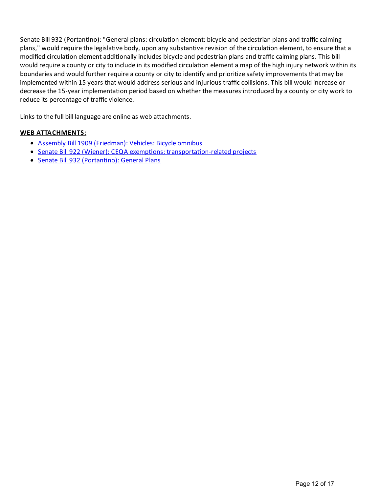Senate Bill 932 (Portantino): "General plans: circulation element: bicycle and pedestrian plans and traffic calming plans," would require the legislative body, upon any substantive revision of the circulation element, to ensure that a modified circulation element additionally includes bicycle and pedestrian plans and traffic calming plans. This bill would require a county or city to include in its modified circulation element a map of the high injury network within its boundaries and would further require a county or city to identify and prioritize safety improvements that may be implemented within 15 years that would address serious and injurious traffic collisions. This bill would increase or decrease the 15-year implementation period based on whether the measures introduced by a county or city work to reduce its percentage of traffic violence.

Links to the full bill language are online as web attachments.

#### **WEB ATTACHMENTS:**

- Assembly Bill 1909 [\(Friedman\):](https://leginfo.legislature.ca.gov/faces/billNavClient.xhtml?bill_id=202120220AB1909) Vehicles: Bicycle omnibus
- Senate Bill 922 (Wiener): CEQA exemptions; transportation-related projects
- Senate Bill 932 (Portantino): General Plans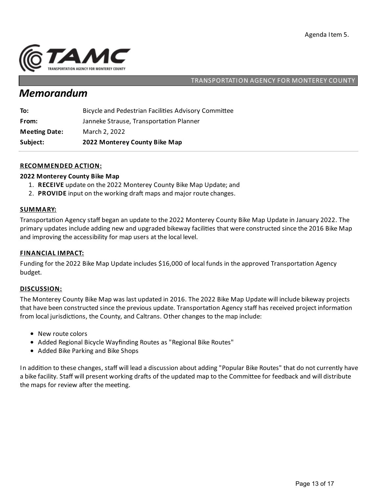

# *Memorandum*

| Subject:             | 2022 Monterey County Bike Map                        |
|----------------------|------------------------------------------------------|
| <b>Meeting Date:</b> | March 2, 2022                                        |
| From:                | Janneke Strause, Transportation Planner              |
| To:                  | Bicycle and Pedestrian Facilities Advisory Committee |

### **RECOMMENDED ACTION:**

#### **2022 Monterey County Bike Map**

- 1. **RECEIVE** update on the 2022 Monterey County Bike Map Update;and
- 2. **PROVIDE** input on the working draft maps and major route changes.

#### **SUMMARY:**

Transportation Agency staff began an update to the 2022 Monterey County Bike Map Update in January 2022. The primary updates include adding new and upgraded bikeway facilities that were constructed since the 2016 Bike Map and improving the accessibility for map users at the local level.

#### **FINANCIAL IMPACT:**

Funding for the 2022 Bike Map Update includes \$16,000 of local funds in the approved Transportation Agency budget.

#### **DISCUSSION:**

The Monterey County Bike Map was last updated in 2016. The 2022 Bike Map Update will include bikeway projects that have been constructed since the previous update. Transportation Agency staff has received project information from local jurisdictions, the County, and Caltrans. Other changes to the map include:

- New route colors
- Added Regional Bicycle Wayfinding Routes as "Regional Bike Routes"
- Added Bike Parking and Bike Shops

In addition to these changes, staff will lead a discussion about adding "Popular Bike Routes" that do not currently have a bike facility. Staff will present working drafts of the updated map to the Committee for feedback and will distribute the maps for review after the meeting.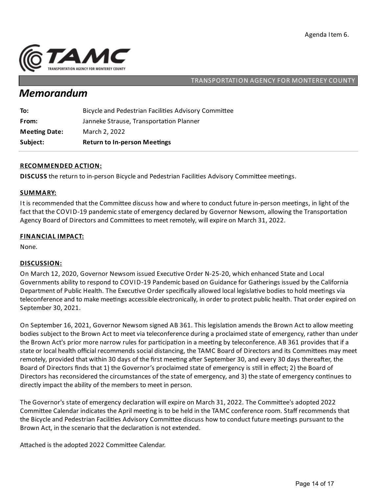

# *Memorandum*

| Subject:             | <b>Return to In-person Meetings</b>                  |
|----------------------|------------------------------------------------------|
| <b>Meeting Date:</b> | March 2, 2022                                        |
| From:                | Janneke Strause, Transportation Planner              |
| To:                  | Bicycle and Pedestrian Facilities Advisory Committee |

### **RECOMMENDED ACTION:**

**DISCUSS** the return to in-person Bicycle and Pedestrian Facilities Advisory Committee meetings.

#### **SUMMARY:**

It is recommended that the Committee discuss how and where to conduct future in-person meetings, in light of the fact that the COVID-19 pandemic state of emergency declared by Governor Newsom, allowing the Transportation Agency Board of Directors and Committees to meet remotely, will expire on March 31, 2022.

#### **FINANCIAL IMPACT:**

None.

### **DISCUSSION:**

On March 12, 2020, Governor Newsom issued Executive Order N-25-20, which enhanced State and Local Governments ability to respond to COVID-19 Pandemic based on Guidance for Gatherings issued by the California Department of Public Health. The Executive Order specifically allowed local legislative bodies to hold meetings via teleconference and to make meetings accessible electronically, in order to protect public health. That order expired on September 30, 2021.

On September 16, 2021, Governor Newsom signed AB 361. This legislation amends the Brown Act to allow meeting bodies subject to the Brown Act to meet via teleconference during a proclaimed state of emergency, rather than under the Brown Act's prior more narrow rules for participation in a meeting by teleconference. AB 361 provides that if a state or local health official recommends social distancing, the TAMC Board of Directors and its Committees may meet remotely, provided that within 30 days of the first meeting after September 30, and every 30 days thereafter, the Board of Directors finds that 1) the Governor's proclaimed state of emergency is still in effect; 2) the Board of Directors has reconsidered the circumstances of the state of emergency, and 3) the state of emergency continues to directly impact the ability of the members to meet in person.

The Governor's state of emergency declaration will expire on March 31, 2022. The Committee's adopted 2022 Committee Calendar indicates the April meeting is to be held in the TAMC conference room. Staff recommends that the Bicycle and Pedestrian Facilities Advisory Committee discuss how to conduct future meetings pursuant to the Brown Act, in the scenario that the declaration is not extended.

Attached is the adopted 2022 Committee Calendar.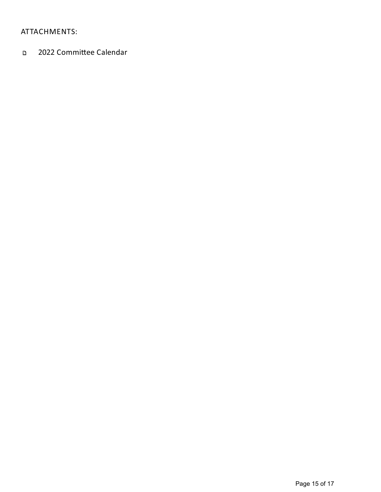# ATTACHMENTS:

2022 Committee Calendar  $\mathbf{D}$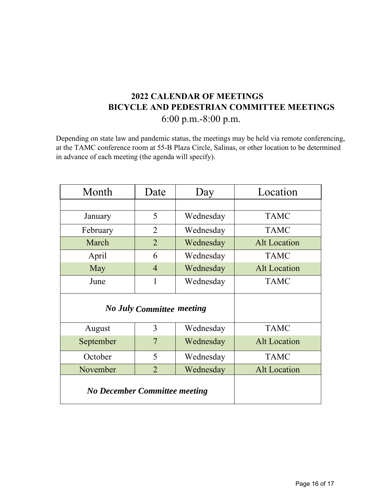# **2022 CALENDAR OF MEETINGS BICYCLE AND PEDESTRIAN COMMITTEE MEETINGS**  6:00 p.m.-8:00 p.m.

Depending on state law and pandemic status, the meetings may be held via remote conferencing, at the TAMC conference room at 55-B Plaza Circle, Salinas, or other location to be determined in advance of each meeting (the agenda will specify).

| Month                                | Date           | Day       | Location            |
|--------------------------------------|----------------|-----------|---------------------|
|                                      |                |           |                     |
| January                              | 5              | Wednesday | <b>TAMC</b>         |
| February                             | $\overline{2}$ | Wednesday | <b>TAMC</b>         |
| March                                | $\overline{2}$ | Wednesday | <b>Alt Location</b> |
| April                                | 6              | Wednesday | <b>TAMC</b>         |
| May                                  | $\overline{4}$ | Wednesday | <b>Alt Location</b> |
| June                                 | 1              | Wednesday | <b>TAMC</b>         |
| <b>No July Committee meeting</b>     |                |           |                     |
| August                               | 3              | Wednesday | <b>TAMC</b>         |
| September                            | 7              | Wednesday | <b>Alt Location</b> |
| October                              | 5              | Wednesday | <b>TAMC</b>         |
| November                             | $\overline{2}$ | Wednesday | <b>Alt Location</b> |
| <b>No December Committee meeting</b> |                |           |                     |